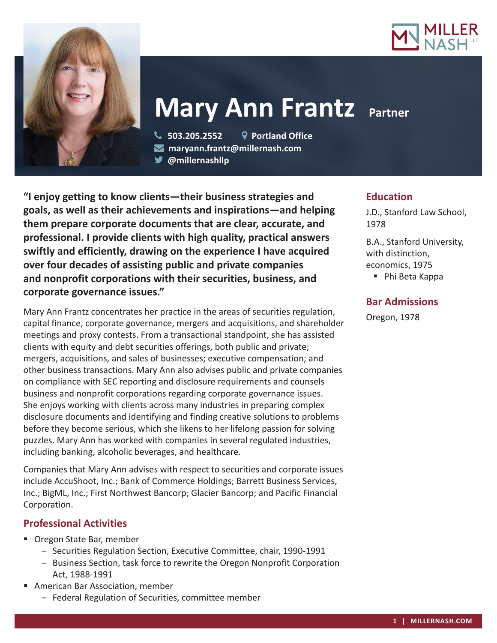



# **Mary Ann Frantz Partner**

 **503.205.2552 Portland Office maryann.frantz@millernash.com** 

**@millernashllp** 

**"I enjoy getting to know clients—their business strategies and goals, as well as their achievements and inspirations—and helping them prepare corporate documents that are clear, accurate, and professional. I provide clients with high quality, practical answers swiftly and efficiently, drawing on the experience I have acquired over four decades of assisting public and private companies and nonprofit corporations with their securities, business, and corporate governance issues."**

Mary Ann Frantz concentrates her practice in the areas of securities regulation, capital finance, corporate governance, mergers and acquisitions, and shareholder meetings and proxy contests. From a transactional standpoint, she has assisted clients with equity and debt securities offerings, both public and private; mergers, acquisitions, and sales of businesses; executive compensation; and other business transactions. Mary Ann also advises public and private companies on compliance with SEC reporting and disclosure requirements and counsels business and nonprofit corporations regarding corporate governance issues. She enjoys working with clients across many industries in preparing complex disclosure documents and identifying and finding creative solutions to problems before they become serious, which she likens to her lifelong passion for solving puzzles. Mary Ann has worked with companies in several regulated industries, including banking, alcoholic beverages, and healthcare.

Companies that Mary Ann advises with respect to securities and corporate issues include AccuShoot, Inc.; Bank of Commerce Holdings; Barrett Business Services, Inc.; BigML, Inc.; First Northwest Bancorp; Glacier Bancorp; and Pacific Financial Corporation.

# **Professional Activities**

- Oregon State Bar, member
	- Securities Regulation Section, Executive Committee, chair, 1990-1991
	- Business Section, task force to rewrite the Oregon Nonprofit Corporation Act, 1988-1991
- American Bar Association, member
	- Federal Regulation of Securities, committee member

# **Education**

J.D., Stanford Law School, 1978

B.A., Stanford University, with distinction, economics, 1975

■ Phi Beta Kappa

# **Bar Admissions**

Oregon, 1978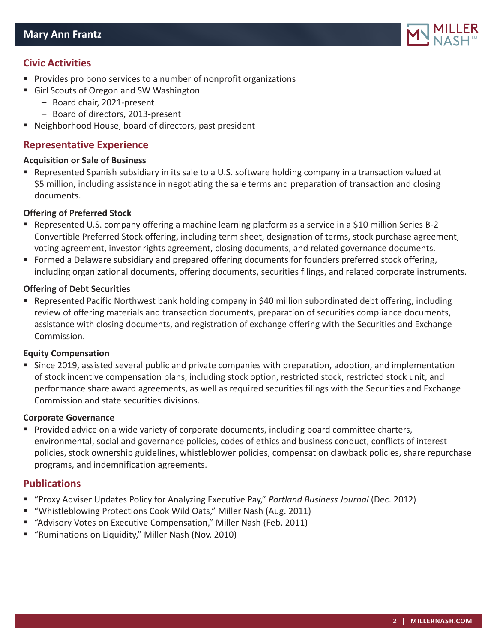

## **Civic Activities**

- **Provides pro bono services to a number of nonprofit organizations**
- Girl Scouts of Oregon and SW Washington
	- Board chair, 2021-present
	- Board of directors, 2013-present
- Neighborhood House, board of directors, past president

## **Representative Experience**

#### **Acquisition or Sale of Business**

 Represented Spanish subsidiary in its sale to a U.S. software holding company in a transaction valued at \$5 million, including assistance in negotiating the sale terms and preparation of transaction and closing documents.

#### **Offering of Preferred Stock**

- Represented U.S. company offering a machine learning platform as a service in a \$10 million Series B-2 Convertible Preferred Stock offering, including term sheet, designation of terms, stock purchase agreement, voting agreement, investor rights agreement, closing documents, and related governance documents.
- **F** Formed a Delaware subsidiary and prepared offering documents for founders preferred stock offering, including organizational documents, offering documents, securities filings, and related corporate instruments.

#### **Offering of Debt Securities**

 Represented Pacific Northwest bank holding company in \$40 million subordinated debt offering, including review of offering materials and transaction documents, preparation of securities compliance documents, assistance with closing documents, and registration of exchange offering with the Securities and Exchange Commission.

#### **Equity Compensation**

 Since 2019, assisted several public and private companies with preparation, adoption, and implementation of stock incentive compensation plans, including stock option, restricted stock, restricted stock unit, and performance share award agreements, as well as required securities filings with the Securities and Exchange Commission and state securities divisions.

#### **Corporate Governance**

**Provided advice on a wide variety of corporate documents, including board committee charters,** environmental, social and governance policies, codes of ethics and business conduct, conflicts of interest policies, stock ownership guidelines, whistleblower policies, compensation clawback policies, share repurchase programs, and indemnification agreements.

### **Publications**

- "Proxy Adviser Updates Policy for Analyzing Executive Pay," *Portland Business Journal* (Dec. 2012)
- "Whistleblowing Protections Cook Wild Oats," Miller Nash (Aug. 2011)
- "Advisory Votes on Executive Compensation," Miller Nash (Feb. 2011)
- "Ruminations on Liquidity," Miller Nash (Nov. 2010)